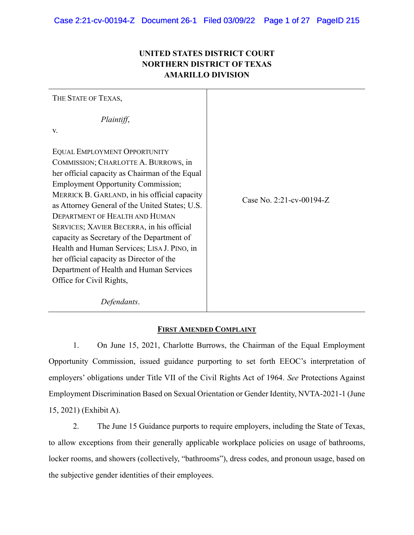# **UNITED STATES DISTRICT COURT NORTHERN DISTRICT OF TEXAS AMARILLO DIVISION**

THE STATE OF TEXAS, *Plaintiff*, v. EQUAL EMPLOYMENT OPPORTUNITY COMMISSION; CHARLOTTE A. BURROWS, in her official capacity as Chairman of the Equal Employment Opportunity Commission; MERRICK B. GARLAND, in his official capacity as Attorney General of the United States; U.S. DEPARTMENT OF HEALTH AND HUMAN SERVICES; XAVIER BECERRA, in his official capacity as Secretary of the Department of Health and Human Services; LISA J. PINO, in her official capacity as Director of the Department of Health and Human Services Office for Civil Rights, *Defendants*. Case No. 2:21-cv-00194-Z

# **FIRST AMENDED COMPLAINT**

1. On June 15, 2021, Charlotte Burrows, the Chairman of the Equal Employment Opportunity Commission, issued guidance purporting to set forth EEOC's interpretation of employers' obligations under Title VII of the Civil Rights Act of 1964. *See* Protections Against Employment Discrimination Based on Sexual Orientation or Gender Identity, NVTA-2021-1 (June 15, 2021) (Exhibit A).

2. The June 15 Guidance purports to require employers, including the State of Texas, to allow exceptions from their generally applicable workplace policies on usage of bathrooms, locker rooms, and showers (collectively, "bathrooms"), dress codes, and pronoun usage, based on the subjective gender identities of their employees.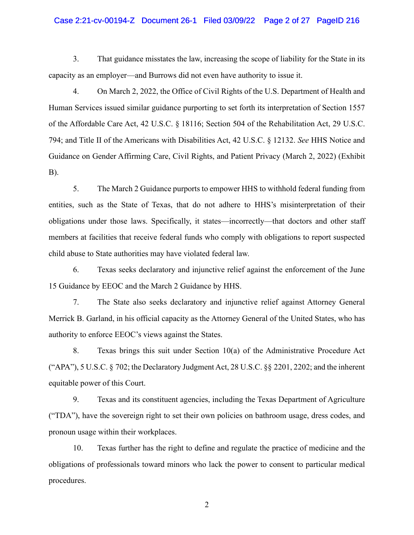## Case 2:21-cv-00194-Z Document 26-1 Filed 03/09/22 Page 2 of 27 PageID 216

3. That guidance misstates the law, increasing the scope of liability for the State in its capacity as an employer—and Burrows did not even have authority to issue it.

4. On March 2, 2022, the Office of Civil Rights of the U.S. Department of Health and Human Services issued similar guidance purporting to set forth its interpretation of Section 1557 of the Affordable Care Act, 42 U.S.C. § 18116; Section 504 of the Rehabilitation Act, 29 U.S.C. 794; and Title II of the Americans with Disabilities Act, 42 U.S.C. § 12132. *See* HHS Notice and Guidance on Gender Affirming Care, Civil Rights, and Patient Privacy (March 2, 2022) (Exhibit B).

5. The March 2 Guidance purports to empower HHS to withhold federal funding from entities, such as the State of Texas, that do not adhere to HHS's misinterpretation of their obligations under those laws. Specifically, it states—incorrectly—that doctors and other staff members at facilities that receive federal funds who comply with obligations to report suspected child abuse to State authorities may have violated federal law.

6. Texas seeks declaratory and injunctive relief against the enforcement of the June 15 Guidance by EEOC and the March 2 Guidance by HHS.

7. The State also seeks declaratory and injunctive relief against Attorney General Merrick B. Garland, in his official capacity as the Attorney General of the United States, who has authority to enforce EEOC's views against the States.

8. Texas brings this suit under Section 10(a) of the Administrative Procedure Act ("APA"), 5 U.S.C. § 702; the Declaratory Judgment Act, 28 U.S.C. §§ 2201, 2202; and the inherent equitable power of this Court.

9. Texas and its constituent agencies, including the Texas Department of Agriculture ("TDA"), have the sovereign right to set their own policies on bathroom usage, dress codes, and pronoun usage within their workplaces.

10. Texas further has the right to define and regulate the practice of medicine and the obligations of professionals toward minors who lack the power to consent to particular medical procedures.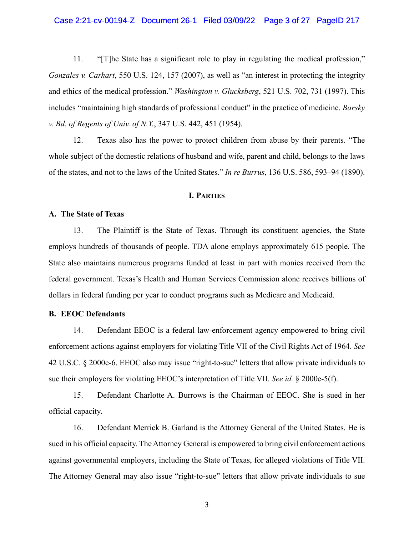11. "[T]he State has a significant role to play in regulating the medical profession," *Gonzales v. Carhart*, 550 U.S. 124, 157 (2007), as well as "an interest in protecting the integrity and ethics of the medical profession." *Washington v. Glucksberg*, 521 U.S. 702, 731 (1997). This includes "maintaining high standards of professional conduct" in the practice of medicine. *Barsky v. Bd. of Regents of Univ. of N.Y.*, 347 U.S. 442, 451 (1954).

12. Texas also has the power to protect children from abuse by their parents. "The whole subject of the domestic relations of husband and wife, parent and child, belongs to the laws of the states, and not to the laws of the United States." *In re Burrus*, 136 U.S. 586, 593–94 (1890).

### **I. PARTIES**

### **A. The State of Texas**

13. The Plaintiff is the State of Texas. Through its constituent agencies, the State employs hundreds of thousands of people. TDA alone employs approximately 615 people. The State also maintains numerous programs funded at least in part with monies received from the federal government. Texas's Health and Human Services Commission alone receives billions of dollars in federal funding per year to conduct programs such as Medicare and Medicaid.

## **B. EEOC Defendants**

14. Defendant EEOC is a federal law-enforcement agency empowered to bring civil enforcement actions against employers for violating Title VII of the Civil Rights Act of 1964. *See* 42 U.S.C. § 2000e-6. EEOC also may issue "right-to-sue" letters that allow private individuals to sue their employers for violating EEOC's interpretation of Title VII. *See id.* § 2000e-5(f).

15. Defendant Charlotte A. Burrows is the Chairman of EEOC. She is sued in her official capacity.

16. Defendant Merrick B. Garland is the Attorney General of the United States. He is sued in his official capacity. The Attorney General is empowered to bring civil enforcement actions against governmental employers, including the State of Texas, for alleged violations of Title VII. The Attorney General may also issue "right-to-sue" letters that allow private individuals to sue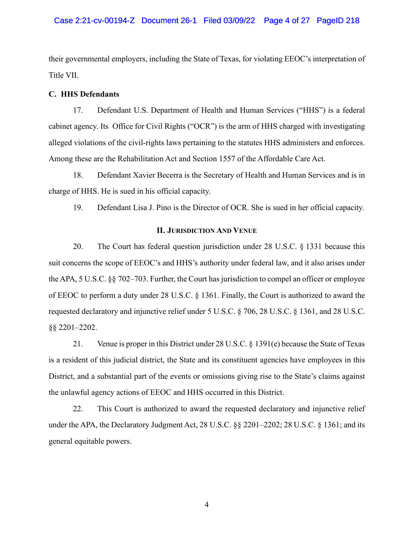their governmental employers, including the State of Texas, for violating EEOC's interpretation of Title VII.

# **C. HHS Defendants**

17. Defendant U.S. Department of Health and Human Services ("HHS") is a federal cabinet agency. Its Office for Civil Rights ("OCR") is the arm of HHS charged with investigating alleged violations of the civil-rights laws pertaining to the statutes HHS administers and enforces. Among these are the Rehabilitation Act and Section 1557 of the Affordable Care Act.

18. Defendant Xavier Becerra is the Secretary of Health and Human Services and is in charge of HHS. He is sued in his official capacity.

19. Defendant Lisa J. Pino is the Director of OCR. She is sued in her official capacity.

### **II. JURISDICTION AND VENUE**

20. The Court has federal question jurisdiction under 28 U.S.C. § 1331 because this suit concerns the scope of EEOC's and HHS's authority under federal law, and it also arises under the APA, 5 U.S.C. §§ 702–703. Further, the Court has jurisdiction to compel an officer or employee of EEOC to perform a duty under 28 U.S.C. § 1361. Finally, the Court is authorized to award the requested declaratory and injunctive relief under 5 U.S.C. § 706, 28 U.S.C. § 1361, and 28 U.S.C. §§ 2201–2202.

21. Venue is proper in this District under 28 U.S.C. § 1391(e) because the State of Texas is a resident of this judicial district, the State and its constituent agencies have employees in this District, and a substantial part of the events or omissions giving rise to the State's claims against the unlawful agency actions of EEOC and HHS occurred in this District.

22. This Court is authorized to award the requested declaratory and injunctive relief under the APA, the Declaratory Judgment Act, 28 U.S.C. §§ 2201–2202; 28 U.S.C. § 1361; and its general equitable powers.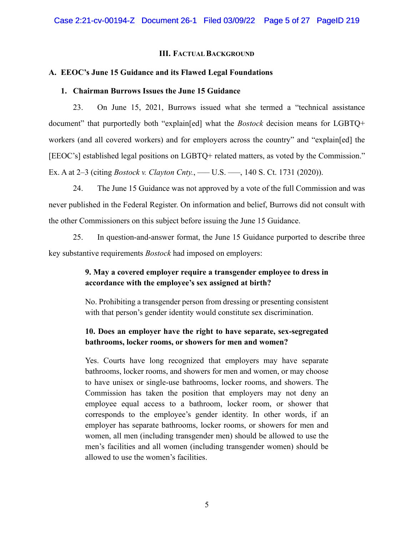## **III. FACTUAL BACKGROUND**

# **A. EEOC's June 15 Guidance and its Flawed Legal Foundations**

## **1. Chairman Burrows Issues the June 15 Guidance**

23. On June 15, 2021, Burrows issued what she termed a "technical assistance document" that purportedly both "explain[ed] what the *Bostock* decision means for LGBTQ+ workers (and all covered workers) and for employers across the country" and "explain[ed] the [EEOC's] established legal positions on LGBTQ+ related matters, as voted by the Commission." Ex. A at 2–3 (citing *Bostock v. Clayton Cnty.*, — U.S. —, 140 S. Ct. 1731 (2020)).

24. The June 15 Guidance was not approved by a vote of the full Commission and was never published in the Federal Register. On information and belief, Burrows did not consult with the other Commissioners on this subject before issuing the June 15 Guidance.

25. In question-and-answer format, the June 15 Guidance purported to describe three key substantive requirements *Bostock* had imposed on employers:

# **9. May a covered employer require a transgender employee to dress in accordance with the employee's sex assigned at birth?**

No. Prohibiting a transgender person from dressing or presenting consistent with that person's gender identity would constitute sex discrimination.

# **10. Does an employer have the right to have separate, sex-segregated bathrooms, locker rooms, or showers for men and women?**

Yes. Courts have long recognized that employers may have separate bathrooms, locker rooms, and showers for men and women, or may choose to have unisex or single-use bathrooms, locker rooms, and showers. The Commission has taken the position that employers may not deny an employee equal access to a bathroom, locker room, or shower that corresponds to the employee's gender identity. In other words, if an employer has separate bathrooms, locker rooms, or showers for men and women, all men (including transgender men) should be allowed to use the men's facilities and all women (including transgender women) should be allowed to use the women's facilities.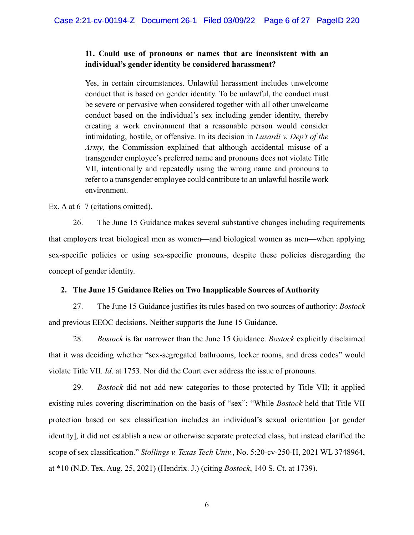# **11. Could use of pronouns or names that are inconsistent with an individual's gender identity be considered harassment?**

Yes, in certain circumstances. Unlawful harassment includes unwelcome conduct that is based on gender identity. To be unlawful, the conduct must be severe or pervasive when considered together with all other unwelcome conduct based on the individual's sex including gender identity, thereby creating a work environment that a reasonable person would consider intimidating, hostile, or offensive. In its decision in *Lusardi v. Dep't of the Army*, the Commission explained that although accidental misuse of a transgender employee's preferred name and pronouns does not violate Title VII, intentionally and repeatedly using the wrong name and pronouns to refer to a transgender employee could contribute to an unlawful hostile work environment.

Ex. A at  $6-7$  (citations omitted).

26. The June 15 Guidance makes several substantive changes including requirements that employers treat biological men as women—and biological women as men—when applying sex-specific policies or using sex-specific pronouns, despite these policies disregarding the concept of gender identity.

# **2. The June 15 Guidance Relies on Two Inapplicable Sources of Authority**

27. The June 15 Guidance justifies its rules based on two sources of authority: *Bostock* and previous EEOC decisions. Neither supports the June 15 Guidance.

28. *Bostock* is far narrower than the June 15 Guidance. *Bostock* explicitly disclaimed that it was deciding whether "sex-segregated bathrooms, locker rooms, and dress codes" would violate Title VII. *Id*. at 1753. Nor did the Court ever address the issue of pronouns.

29. *Bostock* did not add new categories to those protected by Title VII; it applied existing rules covering discrimination on the basis of "sex": "While *Bostock* held that Title VII protection based on sex classification includes an individual's sexual orientation [or gender identity], it did not establish a new or otherwise separate protected class, but instead clarified the scope of sex classification." *Stollings v. Texas Tech Univ.*, No. 5:20-cv-250-H, 2021 WL 3748964, at \*10 (N.D. Tex. Aug. 25, 2021) (Hendrix. J.) (citing *Bostock*, 140 S. Ct. at 1739).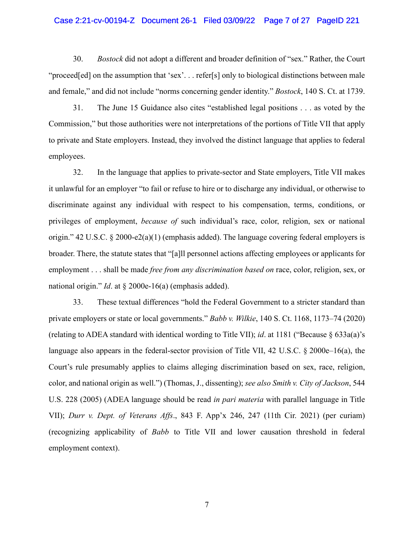## Case 2:21-cv-00194-Z Document 26-1 Filed 03/09/22 Page 7 of 27 PageID 221

30. *Bostock* did not adopt a different and broader definition of "sex." Rather, the Court "proceed[ed] on the assumption that 'sex'... refer[s] only to biological distinctions between male and female," and did not include "norms concerning gender identity." *Bostock*, 140 S. Ct. at 1739.

31. The June 15 Guidance also cites "established legal positions . . . as voted by the Commission," but those authorities were not interpretations of the portions of Title VII that apply to private and State employers. Instead, they involved the distinct language that applies to federal employees.

32. In the language that applies to private-sector and State employers, Title VII makes it unlawful for an employer "to fail or refuse to hire or to discharge any individual, or otherwise to discriminate against any individual with respect to his compensation, terms, conditions, or privileges of employment, *because of* such individual's race, color, religion, sex or national origin." 42 U.S.C. § 2000-e2(a)(1) (emphasis added). The language covering federal employers is broader. There, the statute states that "[a]ll personnel actions affecting employees or applicants for employment . . . shall be made *free from any discrimination based on* race, color, religion, sex, or national origin." *Id*. at § 2000e-16(a) (emphasis added).

33. These textual differences "hold the Federal Government to a stricter standard than private employers or state or local governments." *Babb v. Wilkie*, 140 S. Ct. 1168, 1173–74 (2020) (relating to ADEA standard with identical wording to Title VII); *id*. at 1181 ("Because § 633a(a)'s language also appears in the federal-sector provision of Title VII, 42 U.S.C. § 2000e–16(a), the Court's rule presumably applies to claims alleging discrimination based on sex, race, religion, color, and national origin as well.") (Thomas, J., dissenting); *see also Smith v. City of Jackson*, 544 U.S. 228 (2005) (ADEA language should be read *in pari materia* with parallel language in Title VII); *Durr v. Dept. of Veterans Affs*., 843 F. App'x 246, 247 (11th Cir. 2021) (per curiam) (recognizing applicability of *Babb* to Title VII and lower causation threshold in federal employment context).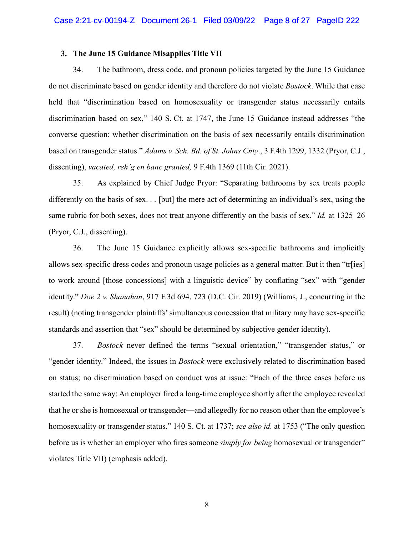### **3. The June 15 Guidance Misapplies Title VII**

34. The bathroom, dress code, and pronoun policies targeted by the June 15 Guidance do not discriminate based on gender identity and therefore do not violate *Bostock*. While that case held that "discrimination based on homosexuality or transgender status necessarily entails discrimination based on sex," 140 S. Ct. at 1747, the June 15 Guidance instead addresses "the converse question: whether discrimination on the basis of sex necessarily entails discrimination based on transgender status." *Adams v. Sch. Bd. of St. Johns Cnty*., 3 F.4th 1299, 1332 (Pryor, C.J., dissenting), *vacated, reh'g en banc granted,* 9 F.4th 1369 (11th Cir. 2021).

35. As explained by Chief Judge Pryor: "Separating bathrooms by sex treats people differently on the basis of sex. . . [but] the mere act of determining an individual's sex, using the same rubric for both sexes, does not treat anyone differently on the basis of sex." *Id.* at 1325–26 (Pryor, C.J., dissenting).

36. The June 15 Guidance explicitly allows sex-specific bathrooms and implicitly allows sex-specific dress codes and pronoun usage policies as a general matter. But it then "tr[ies] to work around [those concessions] with a linguistic device" by conflating "sex" with "gender identity." *Doe 2 v. Shanahan*, 917 F.3d 694, 723 (D.C. Cir. 2019) (Williams, J., concurring in the result) (noting transgender plaintiffs' simultaneous concession that military may have sex-specific standards and assertion that "sex" should be determined by subjective gender identity).

37. *Bostock* never defined the terms "sexual orientation," "transgender status," or "gender identity." Indeed, the issues in *Bostock* were exclusively related to discrimination based on status; no discrimination based on conduct was at issue: "Each of the three cases before us started the same way: An employer fired a long-time employee shortly after the employee revealed that he or she is homosexual or transgender—and allegedly for no reason other than the employee's homosexuality or transgender status." 140 S. Ct. at 1737; *see also id.* at 1753 ("The only question before us is whether an employer who fires someone *simply for being* homosexual or transgender" violates Title VII) (emphasis added).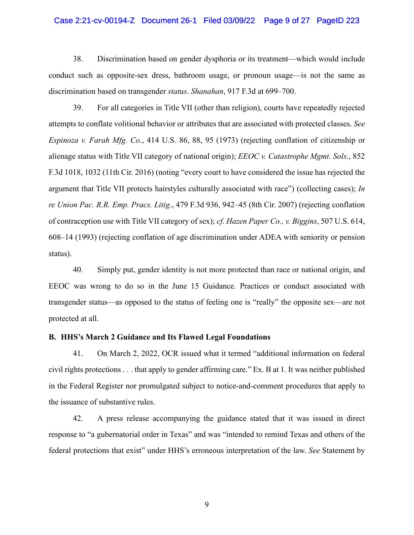## Case 2:21-cv-00194-Z Document 26-1 Filed 03/09/22 Page 9 of 27 PageID 223

38. Discrimination based on gender dysphoria or its treatment—which would include conduct such as opposite-sex dress, bathroom usage, or pronoun usage—is not the same as discrimination based on transgender *status*. *Shanahan*, 917 F.3d at 699–700.

39. For all categories in Title VII (other than religion), courts have repeatedly rejected attempts to conflate volitional behavior or attributes that are associated with protected classes. *See Espinoza v. Farah Mfg. Co*., 414 U.S. 86, 88, 95 (1973) (rejecting conflation of citizenship or alienage status with Title VII category of national origin); *EEOC v. Catastrophe Mgmt. Sols.*, 852 F.3d 1018, 1032 (11th Cir. 2016) (noting "every court to have considered the issue has rejected the argument that Title VII protects hairstyles culturally associated with race") (collecting cases); *In re Union Pac. R.R. Emp. Pracs. Litig*., 479 F.3d 936, 942–45 (8th Cir. 2007) (rejecting conflation of contraception use with Title VII category of sex); *cf*. *Hazen Paper Co., v. Biggins*, 507 U.S. 614, 608–14 (1993) (rejecting conflation of age discrimination under ADEA with seniority or pension status).

40. Simply put, gender identity is not more protected than race or national origin, and EEOC was wrong to do so in the June 15 Guidance. Practices or conduct associated with transgender status—as opposed to the status of feeling one is "really" the opposite sex—are not protected at all.

#### **B. HHS's March 2 Guidance and Its Flawed Legal Foundations**

41. On March 2, 2022, OCR issued what it termed "additional information on federal civil rights protections . . . that apply to gender affirming care." Ex. B at 1. It was neither published in the Federal Register nor promulgated subject to notice-and-comment procedures that apply to the issuance of substantive rules.

42. A press release accompanying the guidance stated that it was issued in direct response to "a gubernatorial order in Texas" and was "intended to remind Texas and others of the federal protections that exist" under HHS's erroneous interpretation of the law. *See* Statement by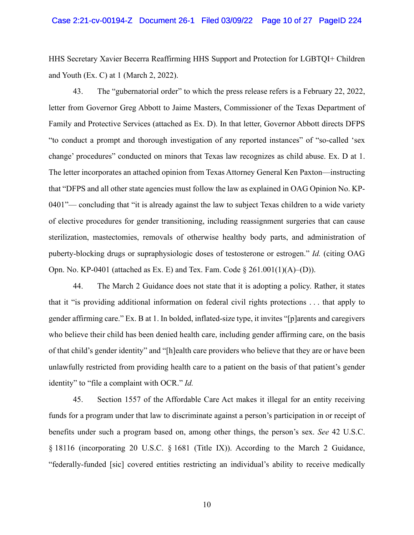HHS Secretary Xavier Becerra Reaffirming HHS Support and Protection for LGBTQI+ Children and Youth (Ex. C) at 1 (March 2, 2022).

43. The "gubernatorial order" to which the press release refers is a February 22, 2022, letter from Governor Greg Abbott to Jaime Masters, Commissioner of the Texas Department of Family and Protective Services (attached as Ex. D). In that letter, Governor Abbott directs DFPS "to conduct a prompt and thorough investigation of any reported instances" of "so-called 'sex change' procedures" conducted on minors that Texas law recognizes as child abuse. Ex. D at 1. The letter incorporates an attached opinion from Texas Attorney General Ken Paxton—instructing that "DFPS and all other state agencies must follow the law as explained in OAG Opinion No. KP-0401"— concluding that "it is already against the law to subject Texas children to a wide variety of elective procedures for gender transitioning, including reassignment surgeries that can cause sterilization, mastectomies, removals of otherwise healthy body parts, and administration of puberty-blocking drugs or supraphysiologic doses of testosterone or estrogen." *Id.* (citing OAG Opn. No. KP-0401 (attached as Ex. E) and Tex. Fam. Code § 261.001(1)(A)–(D)).

44. The March 2 Guidance does not state that it is adopting a policy. Rather, it states that it "is providing additional information on federal civil rights protections . . . that apply to gender affirming care." Ex. B at 1. In bolded, inflated-size type, it invites "[p]arents and caregivers who believe their child has been denied health care, including gender affirming care, on the basis of that child's gender identity" and "[h]ealth care providers who believe that they are or have been unlawfully restricted from providing health care to a patient on the basis of that patient's gender identity" to "file a complaint with OCR." *Id.*

45. Section 1557 of the Affordable Care Act makes it illegal for an entity receiving funds for a program under that law to discriminate against a person's participation in or receipt of benefits under such a program based on, among other things, the person's sex. *See* 42 U.S.C. § 18116 (incorporating 20 U.S.C. § 1681 (Title IX)). According to the March 2 Guidance, "federally-funded [sic] covered entities restricting an individual's ability to receive medically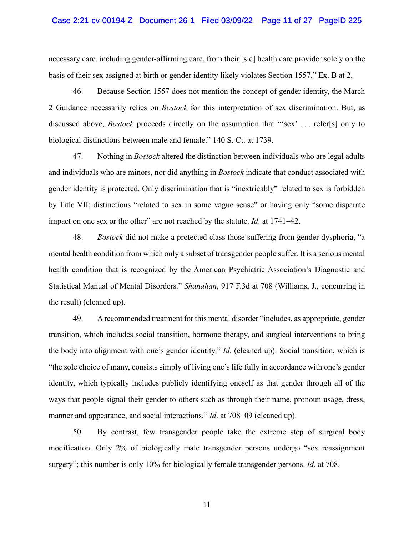### Case 2:21-cv-00194-Z Document 26-1 Filed 03/09/22 Page 11 of 27 PageID 225

necessary care, including gender-affirming care, from their [sic] health care provider solely on the basis of their sex assigned at birth or gender identity likely violates Section 1557." Ex. B at 2.

46. Because Section 1557 does not mention the concept of gender identity, the March 2 Guidance necessarily relies on *Bostock* for this interpretation of sex discrimination. But, as discussed above, *Bostock* proceeds directly on the assumption that "'sex' . . . refer[s] only to biological distinctions between male and female." 140 S. Ct. at 1739.

47. Nothing in *Bostock* altered the distinction between individuals who are legal adults and individuals who are minors, nor did anything in *Bostock* indicate that conduct associated with gender identity is protected. Only discrimination that is "inextricably" related to sex is forbidden by Title VII; distinctions "related to sex in some vague sense" or having only "some disparate impact on one sex or the other" are not reached by the statute. *Id*. at 1741–42.

48. *Bostock* did not make a protected class those suffering from gender dysphoria, "a mental health condition from which only a subset of transgender people suffer. It is a serious mental health condition that is recognized by the American Psychiatric Association's Diagnostic and Statistical Manual of Mental Disorders." *Shanahan*, 917 F.3d at 708 (Williams, J., concurring in the result) (cleaned up).

49. A recommended treatment for this mental disorder "includes, as appropriate, gender transition, which includes social transition, hormone therapy, and surgical interventions to bring the body into alignment with one's gender identity." *Id*. (cleaned up). Social transition, which is "the sole choice of many, consists simply of living one's life fully in accordance with one's gender identity, which typically includes publicly identifying oneself as that gender through all of the ways that people signal their gender to others such as through their name, pronoun usage, dress, manner and appearance, and social interactions." *Id*. at 708–09 (cleaned up).

50. By contrast, few transgender people take the extreme step of surgical body modification. Only 2% of biologically male transgender persons undergo "sex reassignment surgery"; this number is only 10% for biologically female transgender persons. *Id.* at 708.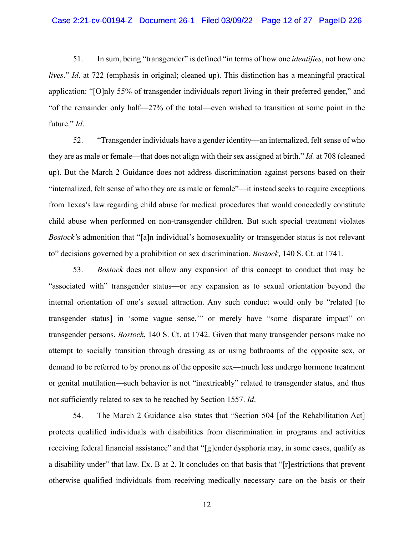51. In sum, being "transgender" is defined "in terms of how one *identifies*, not how one *lives*." *Id*. at 722 (emphasis in original; cleaned up). This distinction has a meaningful practical application: "[O]nly 55% of transgender individuals report living in their preferred gender," and "of the remainder only half—27% of the total—even wished to transition at some point in the future." *Id*.

52. "Transgender individuals have a gender identity—an internalized, felt sense of who they are as male or female—that does not align with their sex assigned at birth." *Id.* at 708 (cleaned up). But the March 2 Guidance does not address discrimination against persons based on their "internalized, felt sense of who they are as male or female"—it instead seeks to require exceptions from Texas's law regarding child abuse for medical procedures that would concededly constitute child abuse when performed on non-transgender children. But such special treatment violates *Bostock'*s admonition that "[a]n individual's homosexuality or transgender status is not relevant to" decisions governed by a prohibition on sex discrimination. *Bostock*, 140 S. Ct. at 1741.

53. *Bostock* does not allow any expansion of this concept to conduct that may be "associated with" transgender status—or any expansion as to sexual orientation beyond the internal orientation of one's sexual attraction. Any such conduct would only be "related [to transgender status] in 'some vague sense,'" or merely have "some disparate impact" on transgender persons. *Bostock*, 140 S. Ct. at 1742. Given that many transgender persons make no attempt to socially transition through dressing as or using bathrooms of the opposite sex, or demand to be referred to by pronouns of the opposite sex—much less undergo hormone treatment or genital mutilation—such behavior is not "inextricably" related to transgender status, and thus not sufficiently related to sex to be reached by Section 1557. *Id*.

54. The March 2 Guidance also states that "Section 504 [of the Rehabilitation Act] protects qualified individuals with disabilities from discrimination in programs and activities receiving federal financial assistance" and that "[g]ender dysphoria may, in some cases, qualify as a disability under" that law. Ex. B at 2. It concludes on that basis that "[r]estrictions that prevent otherwise qualified individuals from receiving medically necessary care on the basis or their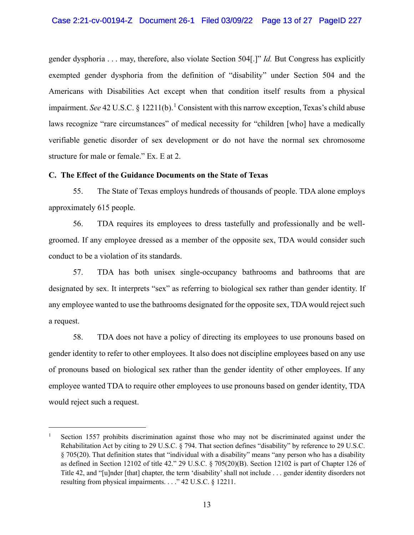gender dysphoria . . . may, therefore, also violate Section 504[.]" *Id.* But Congress has explicitly exempted gender dysphoria from the definition of "disability" under Section 504 and the Americans with Disabilities Act except when that condition itself results from a physical impairment. *See* 42 U.S.C. § 12211(b). [1](#page-12-0) Consistent with this narrow exception, Texas's child abuse laws recognize "rare circumstances" of medical necessity for "children [who] have a medically verifiable genetic disorder of sex development or do not have the normal sex chromosome structure for male or female." Ex. E at 2.

## **C. The Effect of the Guidance Documents on the State of Texas**

55. The State of Texas employs hundreds of thousands of people. TDA alone employs approximately 615 people.

56. TDA requires its employees to dress tastefully and professionally and be wellgroomed. If any employee dressed as a member of the opposite sex, TDA would consider such conduct to be a violation of its standards.

57. TDA has both unisex single-occupancy bathrooms and bathrooms that are designated by sex. It interprets "sex" as referring to biological sex rather than gender identity. If any employee wanted to use the bathrooms designated for the opposite sex, TDA would reject such a request.

58. TDA does not have a policy of directing its employees to use pronouns based on gender identity to refer to other employees. It also does not discipline employees based on any use of pronouns based on biological sex rather than the gender identity of other employees. If any employee wanted TDA to require other employees to use pronouns based on gender identity, TDA would reject such a request.

<span id="page-12-0"></span><sup>&</sup>lt;sup>1</sup> Section 1557 prohibits discrimination against those who may not be discriminated against under the Rehabilitation Act by citing to 29 U.S.C. § 794. That section defines "disability" by reference to 29 U.S.C. § 705(20). That definition states that "individual with a disability" means "any person who has a disability as defined in Section 12102 of title 42." 29 U.S.C. § 705(20)(B). Section 12102 is part of Chapter 126 of Title 42, and "[u]nder [that] chapter, the term 'disability' shall not include . . . gender identity disorders not resulting from physical impairments. . . ." 42 U.S.C. § 12211.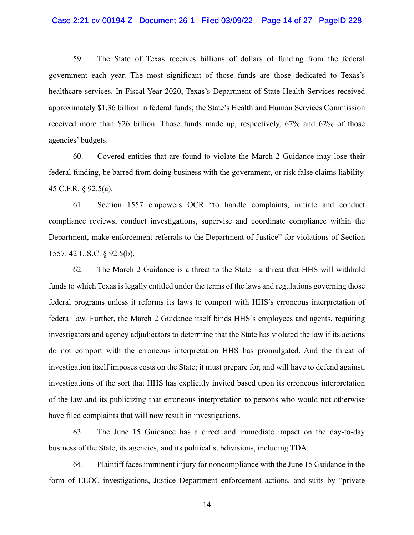### Case 2:21-cv-00194-Z Document 26-1 Filed 03/09/22 Page 14 of 27 PageID 228

59. The State of Texas receives billions of dollars of funding from the federal government each year. The most significant of those funds are those dedicated to Texas's healthcare services. In Fiscal Year 2020, Texas's Department of State Health Services received approximately \$1.36 billion in federal funds; the State's Health and Human Services Commission received more than \$26 billion. Those funds made up, respectively, 67% and 62% of those agencies' budgets.

60. Covered entities that are found to violate the March 2 Guidance may lose their federal funding, be barred from doing business with the government, or risk false claims liability. 45 C.F.R. § 92.5(a).

61. Section 1557 empowers OCR "to handle complaints, initiate and conduct compliance reviews, conduct investigations, supervise and coordinate compliance within the Department, make enforcement referrals to the Department of Justice" for violations of Section 1557. 42 U.S.C. § 92.5(b).

62. The March 2 Guidance is a threat to the State—a threat that HHS will withhold funds to which Texas is legally entitled under the terms of the laws and regulations governing those federal programs unless it reforms its laws to comport with HHS's erroneous interpretation of federal law. Further, the March 2 Guidance itself binds HHS's employees and agents, requiring investigators and agency adjudicators to determine that the State has violated the law if its actions do not comport with the erroneous interpretation HHS has promulgated. And the threat of investigation itself imposes costs on the State; it must prepare for, and will have to defend against, investigations of the sort that HHS has explicitly invited based upon its erroneous interpretation of the law and its publicizing that erroneous interpretation to persons who would not otherwise have filed complaints that will now result in investigations.

63. The June 15 Guidance has a direct and immediate impact on the day-to-day business of the State, its agencies, and its political subdivisions, including TDA.

64. Plaintiff faces imminent injury for noncompliance with the June 15 Guidance in the form of EEOC investigations, Justice Department enforcement actions, and suits by "private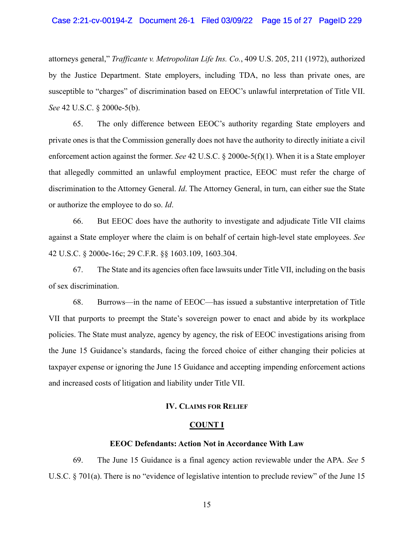### Case 2:21-cv-00194-Z Document 26-1 Filed 03/09/22 Page 15 of 27 PageID 229

attorneys general," *Trafficante v. Metropolitan Life Ins. Co.*, 409 U.S. 205, 211 (1972), authorized by the Justice Department. State employers, including TDA, no less than private ones, are susceptible to "charges" of discrimination based on EEOC's unlawful interpretation of Title VII. *See* 42 U.S.C. § 2000e-5(b).

65. The only difference between EEOC's authority regarding State employers and private ones is that the Commission generally does not have the authority to directly initiate a civil enforcement action against the former. *See* 42 U.S.C. § 2000e-5(f)(1). When it is a State employer that allegedly committed an unlawful employment practice, EEOC must refer the charge of discrimination to the Attorney General. *Id*. The Attorney General, in turn, can either sue the State or authorize the employee to do so. *Id*.

66. But EEOC does have the authority to investigate and adjudicate Title VII claims against a State employer where the claim is on behalf of certain high-level state employees. *See* 42 U.S.C. § 2000e-16c; 29 C.F.R. §§ 1603.109, 1603.304.

67. The State and its agencies often face lawsuits under Title VII, including on the basis of sex discrimination.

68. Burrows—in the name of EEOC—has issued a substantive interpretation of Title VII that purports to preempt the State's sovereign power to enact and abide by its workplace policies. The State must analyze, agency by agency, the risk of EEOC investigations arising from the June 15 Guidance's standards, facing the forced choice of either changing their policies at taxpayer expense or ignoring the June 15 Guidance and accepting impending enforcement actions and increased costs of litigation and liability under Title VII.

### **IV. CLAIMS FOR RELIEF**

### **COUNT I**

#### **EEOC Defendants: Action Not in Accordance With Law**

69. The June 15 Guidance is a final agency action reviewable under the APA. *See* 5 U.S.C. § 701(a). There is no "evidence of legislative intention to preclude review" of the June 15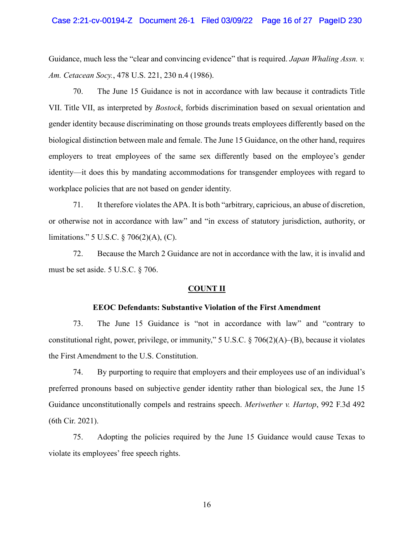Guidance, much less the "clear and convincing evidence" that is required. *Japan Whaling Assn. v. Am. Cetacean Socy.*, 478 U.S. 221, 230 n.4 (1986).

70. The June 15 Guidance is not in accordance with law because it contradicts Title VII. Title VII, as interpreted by *Bostock*, forbids discrimination based on sexual orientation and gender identity because discriminating on those grounds treats employees differently based on the biological distinction between male and female. The June 15 Guidance, on the other hand, requires employers to treat employees of the same sex differently based on the employee's gender identity—it does this by mandating accommodations for transgender employees with regard to workplace policies that are not based on gender identity.

71. It therefore violates the APA. It is both "arbitrary, capricious, an abuse of discretion, or otherwise not in accordance with law" and "in excess of statutory jurisdiction, authority, or limitations." 5 U.S.C. § 706(2)(A), (C).

72. Because the March 2 Guidance are not in accordance with the law, it is invalid and must be set aside. 5 U.S.C. § 706.

#### **COUNT II**

### **EEOC Defendants: Substantive Violation of the First Amendment**

73. The June 15 Guidance is "not in accordance with law" and "contrary to constitutional right, power, privilege, or immunity," 5 U.S.C. § 706(2)(A)–(B), because it violates the First Amendment to the U.S. Constitution.

74. By purporting to require that employers and their employees use of an individual's preferred pronouns based on subjective gender identity rather than biological sex, the June 15 Guidance unconstitutionally compels and restrains speech. *Meriwether v. Hartop*, 992 F.3d 492 (6th Cir. 2021).

75. Adopting the policies required by the June 15 Guidance would cause Texas to violate its employees' free speech rights.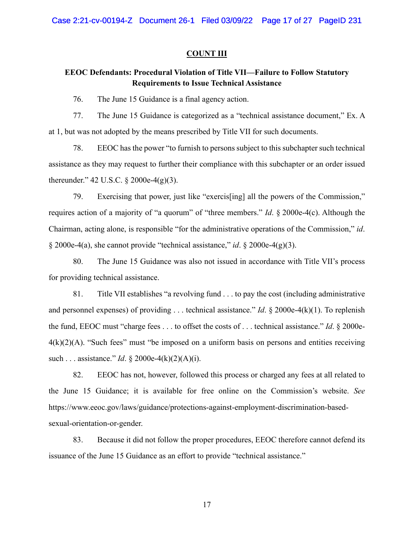### **COUNT III**

# **EEOC Defendants: Procedural Violation of Title VII—Failure to Follow Statutory Requirements to Issue Technical Assistance**

76. The June 15 Guidance is a final agency action.

77. The June 15 Guidance is categorized as a "technical assistance document," Ex. A at 1, but was not adopted by the means prescribed by Title VII for such documents.

78. EEOC has the power "to furnish to persons subject to this subchapter such technical assistance as they may request to further their compliance with this subchapter or an order issued thereunder." 42 U.S.C. § 2000e-4(g)(3).

79. Exercising that power, just like "exercis[ing] all the powers of the Commission," requires action of a majority of "a quorum" of "three members." *Id*. § 2000e-4(c). Although the Chairman, acting alone, is responsible "for the administrative operations of the Commission," *id*. § 2000e-4(a), she cannot provide "technical assistance," *id*. § 2000e-4(g)(3).

80. The June 15 Guidance was also not issued in accordance with Title VII's process for providing technical assistance.

81. Title VII establishes "a revolving fund . . . to pay the cost (including administrative and personnel expenses) of providing . . . technical assistance." *Id*. § 2000e-4(k)(1). To replenish the fund, EEOC must "charge fees . . . to offset the costs of . . . technical assistance." *Id*. § 2000e- $4(k)(2)(A)$ . "Such fees" must "be imposed on a uniform basis on persons and entities receiving such . . . assistance." *Id*. § 2000e-4(k)(2)(A)(i).

82. EEOC has not, however, followed this process or charged any fees at all related to the June 15 Guidance; it is available for free online on the Commission's website. *See* https://www.eeoc.gov/laws/guidance/protections-against-employment-discrimination-basedsexual-orientation-or-gender.

83. Because it did not follow the proper procedures, EEOC therefore cannot defend its issuance of the June 15 Guidance as an effort to provide "technical assistance."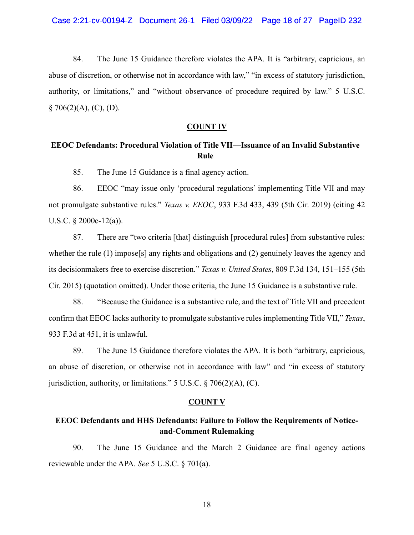84. The June 15 Guidance therefore violates the APA. It is "arbitrary, capricious, an abuse of discretion, or otherwise not in accordance with law," "in excess of statutory jurisdiction, authority, or limitations," and "without observance of procedure required by law." 5 U.S.C.  $§ 706(2)(A), (C), (D).$ 

## **COUNT IV**

# **EEOC Defendants: Procedural Violation of Title VII—Issuance of an Invalid Substantive Rule**

85. The June 15 Guidance is a final agency action.

86. EEOC "may issue only 'procedural regulations' implementing Title VII and may not promulgate substantive rules." *Texas v. EEOC*, 933 F.3d 433, 439 (5th Cir. 2019) (citing 42 U.S.C. § 2000e-12(a)).

87. There are "two criteria [that] distinguish [procedural rules] from substantive rules: whether the rule (1) impose[s] any rights and obligations and (2) genuinely leaves the agency and its decisionmakers free to exercise discretion." *Texas v. United States*, 809 F.3d 134, 151–155 (5th Cir. 2015) (quotation omitted). Under those criteria, the June 15 Guidance is a substantive rule.

88. "Because the Guidance is a substantive rule, and the text of Title VII and precedent confirm that EEOC lacks authority to promulgate substantive rules implementing Title VII," *Texas*, 933 F.3d at 451, it is unlawful.

89. The June 15 Guidance therefore violates the APA. It is both "arbitrary, capricious, an abuse of discretion, or otherwise not in accordance with law" and "in excess of statutory jurisdiction, authority, or limitations."  $5 \text{ U.S.C.} \$   $706(2)(\text{A})$ , (C).

## **COUNT V**

# **EEOC Defendants and HHS Defendants: Failure to Follow the Requirements of Noticeand-Comment Rulemaking**

90. The June 15 Guidance and the March 2 Guidance are final agency actions reviewable under the APA. *See* 5 U.S.C. § 701(a).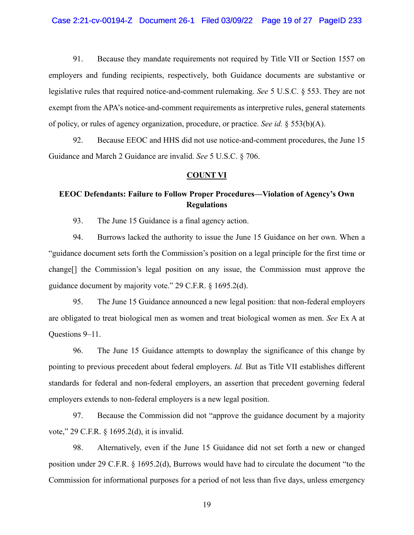91. Because they mandate requirements not required by Title VII or Section 1557 on employers and funding recipients, respectively, both Guidance documents are substantive or legislative rules that required notice-and-comment rulemaking. *See* 5 U.S.C. § 553. They are not exempt from the APA's notice-and-comment requirements as interpretive rules, general statements of policy, or rules of agency organization, procedure, or practice. *See id.* § 553(b)(A).

92. Because EEOC and HHS did not use notice-and-comment procedures, the June 15 Guidance and March 2 Guidance are invalid. *See* 5 U.S.C. § 706.

### **COUNT VI**

# **EEOC Defendants: Failure to Follow Proper Procedures—Violation of Agency's Own Regulations**

93. The June 15 Guidance is a final agency action.

94. Burrows lacked the authority to issue the June 15 Guidance on her own. When a "guidance document sets forth the Commission's position on a legal principle for the first time or change[] the Commission's legal position on any issue, the Commission must approve the guidance document by majority vote." 29 C.F.R. § 1695.2(d).

95. The June 15 Guidance announced a new legal position: that non-federal employers are obligated to treat biological men as women and treat biological women as men. *See* Ex A at Questions 9–11.

96. The June 15 Guidance attempts to downplay the significance of this change by pointing to previous precedent about federal employers. *Id.* But as Title VII establishes different standards for federal and non-federal employers, an assertion that precedent governing federal employers extends to non-federal employers is a new legal position.

97. Because the Commission did not "approve the guidance document by a majority vote," 29 C.F.R. § 1695.2(d), it is invalid.

98. Alternatively, even if the June 15 Guidance did not set forth a new or changed position under 29 C.F.R. § 1695.2(d), Burrows would have had to circulate the document "to the Commission for informational purposes for a period of not less than five days, unless emergency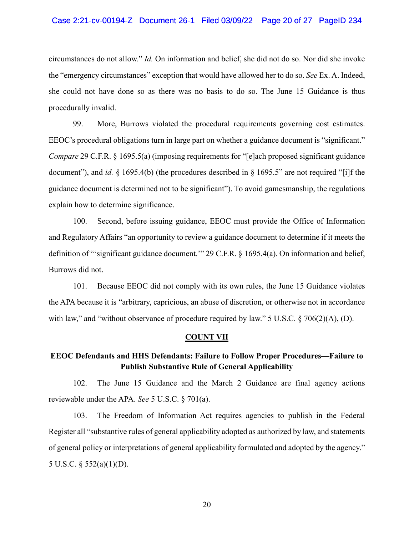## Case 2:21-cv-00194-Z Document 26-1 Filed 03/09/22 Page 20 of 27 PageID 234

circumstances do not allow." *Id.* On information and belief, she did not do so. Nor did she invoke the "emergency circumstances" exception that would have allowed her to do so. *See* Ex. A. Indeed, she could not have done so as there was no basis to do so. The June 15 Guidance is thus procedurally invalid.

99. More, Burrows violated the procedural requirements governing cost estimates. EEOC's procedural obligations turn in large part on whether a guidance document is "significant." *Compare* 29 C.F.R. § 1695.5(a) (imposing requirements for "[e]ach proposed significant guidance document"), and *id.* § 1695.4(b) (the procedures described in § 1695.5" are not required "[i]f the guidance document is determined not to be significant"). To avoid gamesmanship, the regulations explain how to determine significance.

100. Second, before issuing guidance, EEOC must provide the Office of Information and Regulatory Affairs "an opportunity to review a guidance document to determine if it meets the definition of "'significant guidance document.'" 29 C.F.R. § 1695.4(a). On information and belief, Burrows did not.

101. Because EEOC did not comply with its own rules, the June 15 Guidance violates the APA because it is "arbitrary, capricious, an abuse of discretion, or otherwise not in accordance with law," and "without observance of procedure required by law." 5 U.S.C. § 706(2)(A), (D).

## **COUNT VII**

# **EEOC Defendants and HHS Defendants: Failure to Follow Proper Procedures—Failure to Publish Substantive Rule of General Applicability**

102. The June 15 Guidance and the March 2 Guidance are final agency actions reviewable under the APA. *See* 5 U.S.C. § 701(a).

103. The Freedom of Information Act requires agencies to publish in the Federal Register all "substantive rules of general applicability adopted as authorized by law, and statements of general policy or interpretations of general applicability formulated and adopted by the agency." 5 U.S.C. § 552(a)(1)(D).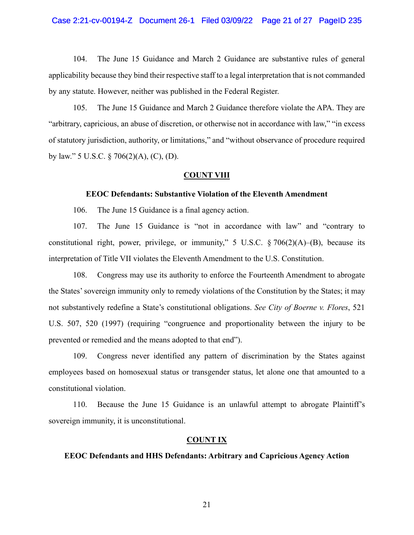### Case 2:21-cv-00194-Z Document 26-1 Filed 03/09/22 Page 21 of 27 PageID 235

104. The June 15 Guidance and March 2 Guidance are substantive rules of general applicability because they bind their respective staff to a legal interpretation that is not commanded by any statute. However, neither was published in the Federal Register.

105. The June 15 Guidance and March 2 Guidance therefore violate the APA. They are "arbitrary, capricious, an abuse of discretion, or otherwise not in accordance with law," "in excess of statutory jurisdiction, authority, or limitations," and "without observance of procedure required by law." 5 U.S.C. § 706(2)(A), (C), (D).

### **COUNT VIII**

# **EEOC Defendants: Substantive Violation of the Eleventh Amendment**

106. The June 15 Guidance is a final agency action.

107. The June 15 Guidance is "not in accordance with law" and "contrary to constitutional right, power, privilege, or immunity," 5 U.S.C.  $\S 706(2)(A)$ –(B), because its interpretation of Title VII violates the Eleventh Amendment to the U.S. Constitution.

108. Congress may use its authority to enforce the Fourteenth Amendment to abrogate the States' sovereign immunity only to remedy violations of the Constitution by the States; it may not substantively redefine a State's constitutional obligations. *See City of Boerne v. Flores*, 521 U.S. 507, 520 (1997) (requiring "congruence and proportionality between the injury to be prevented or remedied and the means adopted to that end").

109. Congress never identified any pattern of discrimination by the States against employees based on homosexual status or transgender status, let alone one that amounted to a constitutional violation.

110. Because the June 15 Guidance is an unlawful attempt to abrogate Plaintiff's sovereign immunity, it is unconstitutional.

### **COUNT IX**

## **EEOC Defendants and HHS Defendants: Arbitrary and Capricious Agency Action**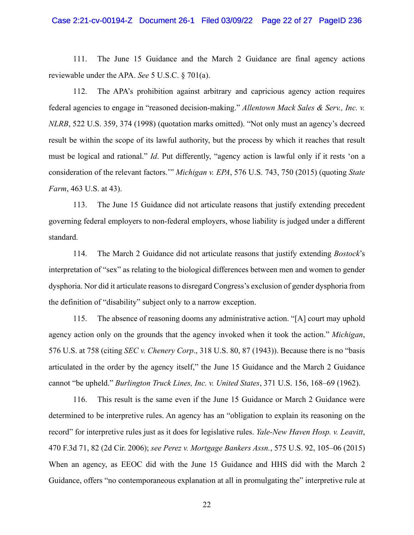# Case 2:21-cv-00194-Z Document 26-1 Filed 03/09/22 Page 22 of 27 PageID 236

111. The June 15 Guidance and the March 2 Guidance are final agency actions reviewable under the APA. *See* 5 U.S.C. § 701(a).

112. The APA's prohibition against arbitrary and capricious agency action requires federal agencies to engage in "reasoned decision-making." *Allentown Mack Sales & Serv., Inc. v. NLRB*, 522 U.S. 359, 374 (1998) (quotation marks omitted). "Not only must an agency's decreed result be within the scope of its lawful authority, but the process by which it reaches that result must be logical and rational." *Id*. Put differently, "agency action is lawful only if it rests 'on a consideration of the relevant factors.'" *Michigan v. EPA*, 576 U.S. 743, 750 (2015) (quoting *State Farm*, 463 U.S. at 43).

113. The June 15 Guidance did not articulate reasons that justify extending precedent governing federal employers to non-federal employers, whose liability is judged under a different standard.

114. The March 2 Guidance did not articulate reasons that justify extending *Bostock*'s interpretation of "sex" as relating to the biological differences between men and women to gender dysphoria. Nor did it articulate reasons to disregard Congress's exclusion of gender dysphoria from the definition of "disability" subject only to a narrow exception.

115. The absence of reasoning dooms any administrative action. "[A] court may uphold agency action only on the grounds that the agency invoked when it took the action." *Michigan*, 576 U.S. at 758 (citing *SEC v. Chenery Corp*., 318 U.S. 80, 87 (1943)). Because there is no "basis articulated in the order by the agency itself," the June 15 Guidance and the March 2 Guidance cannot "be upheld." *Burlington Truck Lines, Inc. v. United States*, 371 U.S. 156, 168–69 (1962).

116. This result is the same even if the June 15 Guidance or March 2 Guidance were determined to be interpretive rules. An agency has an "obligation to explain its reasoning on the record" for interpretive rules just as it does for legislative rules. *Yale-New Haven Hosp. v. Leavitt*, 470 F.3d 71, 82 (2d Cir. 2006); *see Perez v. Mortgage Bankers Assn.*, 575 U.S. 92, 105–06 (2015) When an agency, as EEOC did with the June 15 Guidance and HHS did with the March 2 Guidance, offers "no contemporaneous explanation at all in promulgating the" interpretive rule at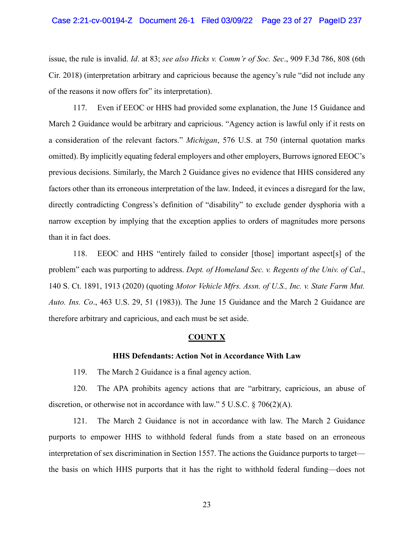issue, the rule is invalid. *Id*. at 83; *see also Hicks v. Comm'r of Soc. Sec*., 909 F.3d 786, 808 (6th Cir. 2018) (interpretation arbitrary and capricious because the agency's rule "did not include any of the reasons it now offers for" its interpretation).

117. Even if EEOC or HHS had provided some explanation, the June 15 Guidance and March 2 Guidance would be arbitrary and capricious. "Agency action is lawful only if it rests on a consideration of the relevant factors." *Michigan*, 576 U.S. at 750 (internal quotation marks omitted). By implicitly equating federal employers and other employers, Burrows ignored EEOC's previous decisions. Similarly, the March 2 Guidance gives no evidence that HHS considered any factors other than its erroneous interpretation of the law. Indeed, it evinces a disregard for the law, directly contradicting Congress's definition of "disability" to exclude gender dysphoria with a narrow exception by implying that the exception applies to orders of magnitudes more persons than it in fact does.

118. EEOC and HHS "entirely failed to consider [those] important aspect[s] of the problem" each was purporting to address. *Dept. of Homeland Sec. v. Regents of the Univ. of Cal*., 140 S. Ct. 1891, 1913 (2020) (quoting *Motor Vehicle Mfrs. Assn. of U.S., Inc. v. State Farm Mut. Auto. Ins. Co*., 463 U.S. 29, 51 (1983)). The June 15 Guidance and the March 2 Guidance are therefore arbitrary and capricious, and each must be set aside.

#### **COUNT X**

## **HHS Defendants: Action Not in Accordance With Law**

119. The March 2 Guidance is a final agency action.

120. The APA prohibits agency actions that are "arbitrary, capricious, an abuse of discretion, or otherwise not in accordance with law." 5 U.S.C. § 706(2)(A).

121. The March 2 Guidance is not in accordance with law. The March 2 Guidance purports to empower HHS to withhold federal funds from a state based on an erroneous interpretation of sex discrimination in Section 1557. The actions the Guidance purports to target the basis on which HHS purports that it has the right to withhold federal funding—does not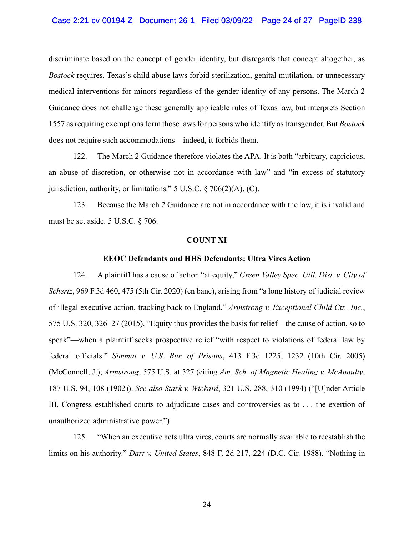discriminate based on the concept of gender identity, but disregards that concept altogether, as *Bostock* requires. Texas's child abuse laws forbid sterilization, genital mutilation, or unnecessary medical interventions for minors regardless of the gender identity of any persons. The March 2 Guidance does not challenge these generally applicable rules of Texas law, but interprets Section 1557 as requiring exemptions form those laws for persons who identify as transgender. But *Bostock* does not require such accommodations—indeed, it forbids them.

122. The March 2 Guidance therefore violates the APA. It is both "arbitrary, capricious, an abuse of discretion, or otherwise not in accordance with law" and "in excess of statutory jurisdiction, authority, or limitations." 5 U.S.C. § 706(2)(A), (C).

123. Because the March 2 Guidance are not in accordance with the law, it is invalid and must be set aside. 5 U.S.C. § 706.

#### **COUNT XI**

### **EEOC Defendants and HHS Defendants: Ultra Vires Action**

124. A plaintiff has a cause of action "at equity," *Green Valley Spec. Util. Dist. v. City of Schertz*, 969 F.3d 460, 475 (5th Cir. 2020) (en banc), arising from "a long history of judicial review of illegal executive action, tracking back to England." *Armstrong v. Exceptional Child Ctr., Inc.*, 575 U.S. 320, 326–27 (2015). "Equity thus provides the basis for relief—the cause of action, so to speak"—when a plaintiff seeks prospective relief "with respect to violations of federal law by federal officials." *Simmat v. U.S. Bur. of Prisons*, 413 F.3d 1225, 1232 (10th Cir. 2005) (McConnell, J.); *Armstrong*, 575 U.S. at 327 (citing *Am. Sch. of Magnetic Healing v. McAnnulty*, 187 U.S. 94, 108 (1902)). *See also Stark v. Wickard*, 321 U.S. 288, 310 (1994) ("[U]nder Article III, Congress established courts to adjudicate cases and controversies as to . . . the exertion of unauthorized administrative power.")

125. "When an executive acts ultra vires, courts are normally available to reestablish the limits on his authority." *Dart v. United States*, 848 F. 2d 217, 224 (D.C. Cir. 1988). "Nothing in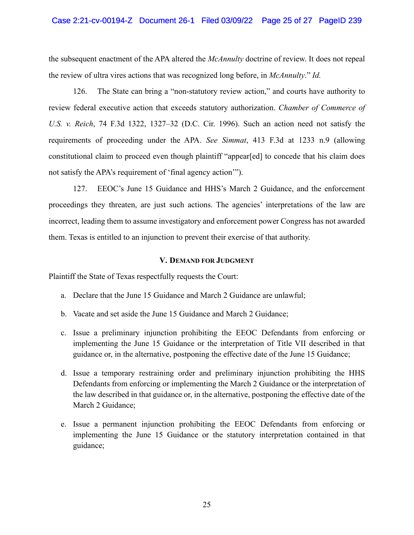## Case 2:21-cv-00194-Z Document 26-1 Filed 03/09/22 Page 25 of 27 PageID 239

the subsequent enactment of the APA altered the *McAnnulty* doctrine of review. It does not repeal the review of ultra vires actions that was recognized long before, in *McAnnulty*." *Id.*

126. The State can bring a "non-statutory review action," and courts have authority to review federal executive action that exceeds statutory authorization. *Chamber of Commerce of U.S. v. Reich*, 74 F.3d 1322, 1327–32 (D.C. Cir. 1996). Such an action need not satisfy the requirements of proceeding under the APA. *See Simmat*, 413 F.3d at 1233 n.9 (allowing constitutional claim to proceed even though plaintiff "appear[ed] to concede that his claim does not satisfy the APA's requirement of 'final agency action'").

127. EEOC's June 15 Guidance and HHS's March 2 Guidance, and the enforcement proceedings they threaten, are just such actions. The agencies' interpretations of the law are incorrect, leading them to assume investigatory and enforcement power Congress has not awarded them. Texas is entitled to an injunction to prevent their exercise of that authority.

## **V. DEMAND FOR JUDGMENT**

Plaintiff the State of Texas respectfully requests the Court:

- a. Declare that the June 15 Guidance and March 2 Guidance are unlawful;
- b. Vacate and set aside the June 15 Guidance and March 2 Guidance;
- c. Issue a preliminary injunction prohibiting the EEOC Defendants from enforcing or implementing the June 15 Guidance or the interpretation of Title VII described in that guidance or, in the alternative, postponing the effective date of the June 15 Guidance;
- d. Issue a temporary restraining order and preliminary injunction prohibiting the HHS Defendants from enforcing or implementing the March 2 Guidance or the interpretation of the law described in that guidance or, in the alternative, postponing the effective date of the March 2 Guidance;
- e. Issue a permanent injunction prohibiting the EEOC Defendants from enforcing or implementing the June 15 Guidance or the statutory interpretation contained in that guidance;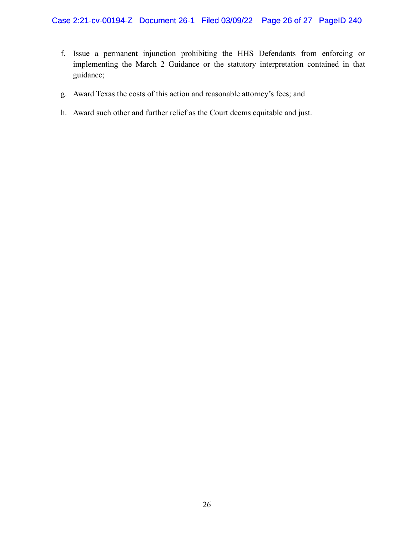- f. Issue a permanent injunction prohibiting the HHS Defendants from enforcing or implementing the March 2 Guidance or the statutory interpretation contained in that guidance;
- g. Award Texas the costs of this action and reasonable attorney's fees; and
- h. Award such other and further relief as the Court deems equitable and just.